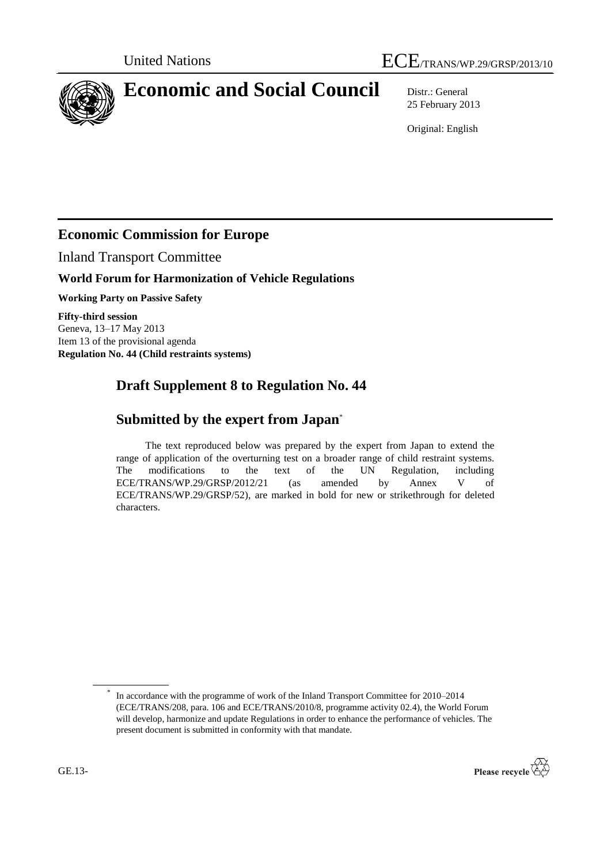

# **Economic and Social Council** Distr.: General

25 February 2013

Original: English

### **Economic Commission for Europe**

Inland Transport Committee

#### **World Forum for Harmonization of Vehicle Regulations**

**Working Party on Passive Safety**

**Fifty-third session** Geneva, 13–17 May 2013 Item 13 of the provisional agenda **Regulation No. 44 (Child restraints systems)**

# **Draft Supplement 8 to Regulation No. 44**

## **Submitted by the expert from Japan**\*

The text reproduced below was prepared by the expert from Japan to extend the range of application of the overturning test on a broader range of child restraint systems. The modifications to the text of the UN Regulation, including ECE/TRANS/WP.29/GRSP/2012/21 (as amended by Annex V of ECE/TRANS/WP.29/GRSP/52), are marked in bold for new or strikethrough for deleted characters.

<sup>\*</sup> In accordance with the programme of work of the Inland Transport Committee for 2010–2014 (ECE/TRANS/208, para. 106 and ECE/TRANS/2010/8, programme activity 02.4), the World Forum will develop, harmonize and update Regulations in order to enhance the performance of vehicles. The present document is submitted in conformity with that mandate.

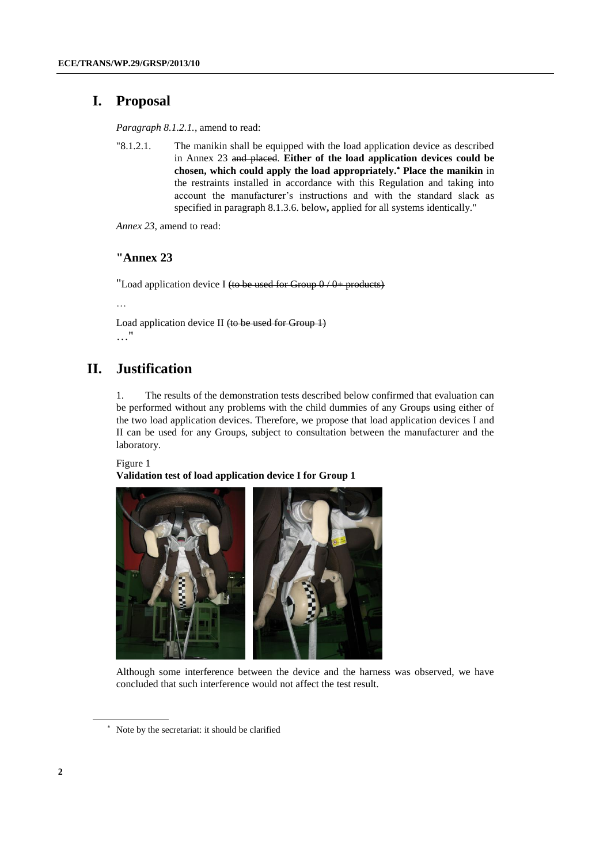### **I. Proposal**

*Paragraph 8.1.2.1.*, amend to read:

"8.1.2.1. The manikin shall be equipped with the load application device as described in Annex 23 and placed. **Either of the load application devices could be chosen, which could apply the load appropriately. Place the manikin** in the restraints installed in accordance with this Regulation and taking into account the manufacturer's instructions and with the standard slack as specified in paragraph 8.1.3.6. below**,** applied for all systems identically."

*Annex 23*, amend to read:

#### **"Annex 23**

"Load application device I (to be used for Group  $0/0+$  products)

…

Load application device II (to be used for Group 1) …"

### **II. Justification**

1. The results of the demonstration tests described below confirmed that evaluation can be performed without any problems with the child dummies of any Groups using either of the two load application devices. Therefore, we propose that load application devices I and II can be used for any Groups, subject to consultation between the manufacturer and the laboratory.

Figure 1

**Validation test of load application device I for Group 1**



Although some interference between the device and the harness was observed, we have concluded that such interference would not affect the test result.

Note by the secretariat: it should be clarified